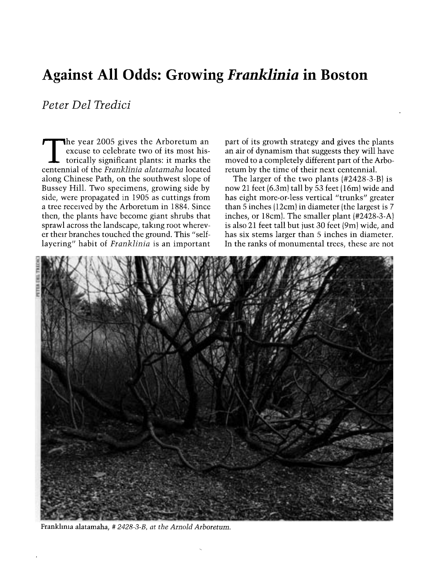## Against All Odds: Growing Franklinia in Boston

Peter Del Tredici

The year 2005 gives the Arboretum an<br>excuse to celebrate two of its most historically significant plants: it marks the centennial of the Franklinia alatamaha located along Chinese Path, on the southwest slope of Bussey Hill. Two specimens, growing side by side, were propagated in 1905 as cuttings from a tree received by the Arboretum in 1884. Since then, the plants have become giant shrubs that sprawl across the landscape, taking root wherever their branches touched the ground. This "selflayering" habit of Franklinia is an important part of its growth strategy and gives the plants an air of dynamism that suggests they will have moved to a completely different part of the Arboretum by the time of their next centennial.

The larger of the two plants (#2428-3-B) is now 21 feet (6.3m) tall by 53 feet (16m) wide and has eight more-or-less vertical "trunks" greater than 5 inches (12cm) in diameter (the largest is 7 inches, or 18cm). The smaller plant (#2428-3-A) is also 21 feet tall but just 30 feet (9m) wide, and has six stems larger than 5 inches in diameter. In the ranks of monumental trees, these are not



Franklima alatamaha, # 2428-3-B, at the Arnold Arboretum.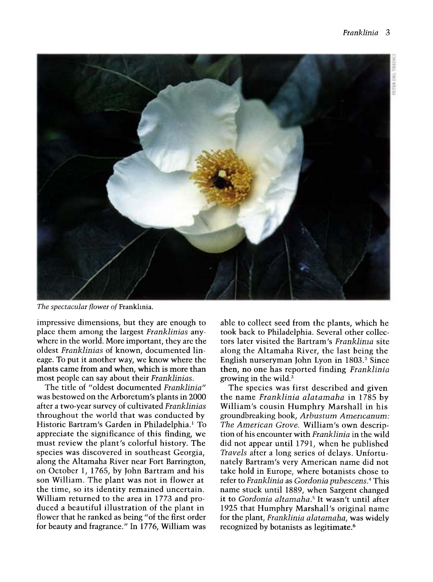

The spectacular flower of Franklinia.

impressive dimensions, but they are enough to place them among the largest Franklinias anywhere in the world. More important, they are the oldest Franklinias of known, documented lineage. To put it another way, we know where the plants came from and when, which is more than most people can say about their Franklinias.

The title of "oldest documented Franklinia" was bestowed on the Arboretum's plants in 2000 after a two-year survey of cultivated Franklinias throughout the world that was conducted by Historic Bartram's Garden in Philadelphia.' To appreciate the significance of this finding, we must review the plant's colorful history. The species was discovered in southeast Georgia, along the Altamaha River near Fort Barrington, on October 1, 1765, by John Bartram and his son William. The plant was not in flower at the time, so its identity remained uncertain. William returned to the area in 1773 and produced a beautiful illustration of the plant in flower that he ranked as being "of the first order for beauty and fragrance." In 1776, William was

able to collect seed from the plants, which he took back to Philadelphia. Several other collectors later visited the Bartram's Franklima site along the Altamaha River, the last being the English nurseryman John Lyon in 1803.<sup>2</sup> Since then, no one has reported finding Franklinia growing in the wild. $3$ 

The species was first described and given the name Franklinia alatamaha in 1785 by William's cousin Humphry Marshall in his groundbreaking book, Arbustum Americanum: The American Grove. William's own description of his encounter with Franklinia in the wild did not appear until 1791, when he published Travels after a long series of delays. Unfortunately Bartram's very American name did not take hold in Europe, where botanists chose to refer to Franklinia as Gordonia pubescens.4 This name stuck until 1889, when Sargent changed it to Gordonia altamaha.<sup>5</sup> It wasn't until after 1925 that Humphry Marshall's original name for the plant, Franklinia alatamaha, was widely recognized by botanists as legitimate.6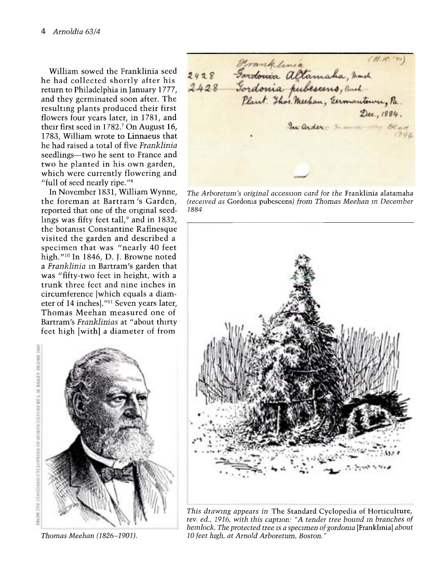William sowed the Franklinia seed he had collected shortly after his return to Philadelphia in January 1777, and they germinated soon after. The resultmg plants produced their first flowers four years later, in 1781, and their first seed in 1782.' On August 16, 1783, William wrote to Linnaeus that he had raised a total of five Franklinia seedlings-two he sent to France and two he planted in his own garden, which were currently flowering and "full of seed nearly ripe."8

In November 1831, William Wynne, the foreman at Bartram's Garden, reported that one of the original seedlings was fifty feet tall,<sup>9</sup> and in 1832, the botamst Constantine Rafinesque visited the garden and described a specimen that was "nearly 40 feet high."<sup>10</sup> In 1846, D. J. Browne noted a Franklinia in Bartram's garden that was "fifty-two feet in height, with a trunk three feet and nine inches in circumference [which equals a diameter of 14 inches]."" Seven years later, Thomas Meehan measured one of Bartram's Franklinias at "about thirty feet high [with] a diameter of from



Thomas Meehan (1826-1901).

2428 Fordonia Altamaha, mark.<br>2428 Fordonia Altamaha, mark.<br>2428 Fordonia pubescens, and Dec. 1884.  $2ac, 1884.$ 

The Arboretum's original accession card for the Franklinia alatamaha (received as Gordonia pubescens) from Thomas Meehan m December 1884



This drawmg appears in The Standard Cyclopedia of Horticulture, rev. ed., 1916, with this caption : "A tender tree bound m branches of hemlock. The protected tree is a specimen of gordonia [Franklinia] about 10 feet high, at Arnold Arboretum, Boston. "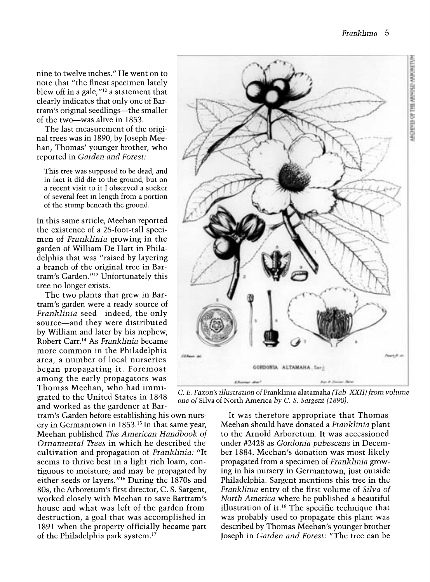nine to twelve inches." He went on to note that "the finest specimen lately blew off in a gale, $^{\prime\prime\prime2}$  a statement that clearly indicates that only one of Bartram's original seedlings—the smaller of the two-was alive in 1853.

The last measurement of the original trees was in 1890, by Joseph Meehan, Thomas' younger brother, who reported in Garden and Forest:

This tree was supposed to be dead, and in fact it did die to the ground, but on a recent visit to it I observed a sucker of several feet m length from a portion of the stump beneath the ground.

In this same article, Meehan reported<br>the existence of a 25-foot-tall specimen of *Franklinia* growing in the garden of William De Hart in Philadelphia that was "raised by layering a branch of the original tree in Bartram's Garden."13 Unfortunately this tree no longer exists.

The two plants that grew in Bartram's garden were a ready source of Franklinia seed—indeed, the only source-and they were distributed by William and later by his nephew, Robert Carr.'4 As Franklinia became more common in the Philadelphia area, a number of local nurseries began propagating it. Foremost among the early propagators was Thomas Meehan, who had immigrated to the United States in 1848 and worked as the gardener at Bar-

tram's Garden before establishing his own nursery in Germantown in 1853.'S In that same year, Meehan published The American Handbook of Ornamental Trees in which he described the cultivation and propagation of Franklinia: "It seems to thrive best in a light rich loam, contiguous to moisture; and may be propagated by either seeds or layers."<sup>16</sup> During the 1870s and 80s, the Arboretum's first director, C. S. Sargent, worked closely with Meehan to save Bartram's house and what was left of the garden from destruction, a goal that was accomplished in 1891 when the property officially became part of the Philadelphia park system." 7



C. E. Faxon's illustration of Franklima alatamaha (Tab XXII) from volume one of Silva of North America by C. S. Sargent (1890).

It was therefore appropriate that Thomas Meehan should have donated a Franklinia plant to the Arnold Arboretum. It was accessioned under #2428 as Gordonia pubescens in December 1884. Meehan's donation was most likely propagated from a specimen of Franklinia growing in his nursery in Germantown, just outside Philadelphia. Sargent mentions this tree in the Franklima entry of the first volume of Silva of North America where he published a beautiful illustration of it.<sup>18</sup> The specific technique that was probably used to propagate this plant was described by Thomas Meehan's younger brother Joseph in Garden and Forest: "The tree can be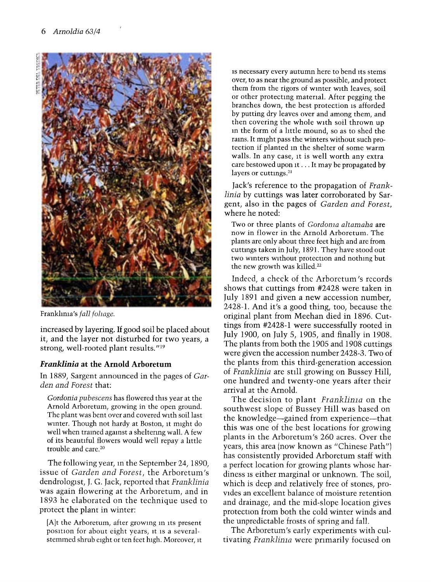

Frankhma's fall fohage.

increased by layering. If good soil be placed about it, and the layer not disturbed for two years, a strong, well-rooted plant results."'9

## Franklinia at the Arnold Arboretum

In 1889, Sargent announced in the pages of Garden and Forest that:

Gordonia pubescens has flowered this year at the Arnold Arboretum, growing in the open ground. The plant was bent over and covered with soil last wmter. Though not hardy at Boston, it might do well when tramed agamst a sheltering wall. A few of its beautiful flowers would well repay a little trouble and care.2°

The following year, in the September 24, 1890, issue of Garden and Forest, the Arboretum's dendrologist, J. G. Jack, reported that Franklinia was again flowering at the Arboretum, and in 1893 he elaborated on the technique used to protect the plant in winter:

[A]t the Arboretum, after growmg m its present position for about eight years, it is a severalstemmed shrub eight or ten feet high. Moreover, it

is necessary every autumn here to bend its stems over, to as near the ground as possible, and protect them from the rigors of wmter with leaves, soil or other protecting matemal. After pegging the branches down, the best protection is afforded by putting dry leaves over and among them, and then covering the whole with soil thrown up m the form of a little mound, so as to shed the rams. It might pass the winters without such protection if planted m the shelter of some warm walls. In any case, it is well worth any extra care bestowed upon it ... It may be propagated by layers or cuttings.<sup>21</sup>

Jack's reference to the propagation of Franklinia by cuttings was later corroborated by Sargent, also in the pages of Garden and Forest, where he noted:

Two or three plants of *Gordonia altamaha* are now in flower in the Arnold Arboretum. The plants are only about three feet high and are from cuttmgs taken in July, 1891. They have stood out two wmters without protection and nothmg but the new growth was killed.<sup>22</sup>

Indeed, a check of the Arborctum's records shows that cuttings from #2428 were taken in July 1891 and given a new accession number, 2428-1. And it's a good thing, too, because the original plant from Meehan died in 1896. Cuttings from #2428-1 were successfully rooted in July 1900, on July 5, 1905, and finally in 1908. were given the accession number 2428-3. Two of the plants from this third-generation accession of Franklinia are still growing on Bussey Hill, one hundred and twenty-one years after their arrival at the Arnold.

The decision to plant Franklinia on the southwest slope of Bussey Hill was based on the knowledge-gained from experience-that this was one of the best locations for growing plants in the Arboretum's 260 acres. Over the years, this area (now known as "Chinese Path") has consistently provided Arboretum staff with a perfect location for growing plants whose hardiness is either marginal or unknown. The soil, which is deep and relatively free of stones, provides an excellent balance of moisture retention and drainage, and the mid-slope location gives protection from both the cold winter winds and the unpredictable frosts of spring and fall.

The Arboretum's early experiments with cultivating Franklinia were primarily focused on